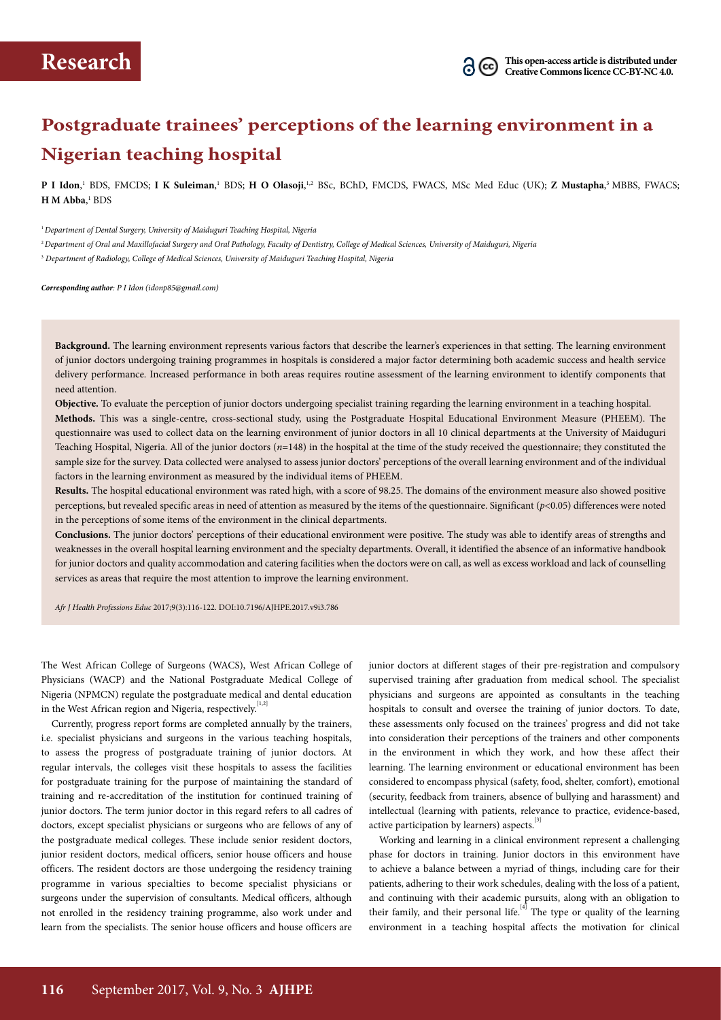# **Postgraduate trainees' perceptions of the learning environment in a Nigerian teaching hospital**

**P I Idon**,<sup>1</sup> BDS, FMCDS; **I K Suleiman**,<sup>1</sup> BDS; **H O Olasoji**,<sup>1,2</sup> BSc, BChD, FMCDS, FWACS, MSc Med Educ (UK); **Z Mustapha**,<sup>3</sup> MBBS, FWACS; **H** M Abba,<sup>1</sup> BDS

<sup>1</sup>*Department of Dental Surgery, University of Maiduguri Teaching Hospital, Nigeria*

<sup>2</sup>*Department of Oral and Maxillofacial Surgery and Oral Pathology, Faculty of Dentistry, College of Medical Sciences, University of Maiduguri, Nigeria* 3  *Department of Radiology, College of Medical Sciences, University of Maiduguri Teaching Hospital, Nigeria*

*Corresponding author: P I Idon [\(idonp85@gmail.com](mailto:idonp85@gmail.com))*

**Background.** The learning environment represents various factors that describe the learner's experiences in that setting. The learning environment of junior doctors undergoing training programmes in hospitals is considered a major factor determining both academic success and health service delivery performance. Increased performance in both areas requires routine assessment of the learning environment to identify components that need attention.

**Objective.** To evaluate the perception of junior doctors undergoing specialist training regarding the learning environment in a teaching hospital. **Methods.** This was a single-centre, cross-sectional study, using the Postgraduate Hospital Educational Environment Measure (PHEEM). The questionnaire was used to collect data on the learning environment of junior doctors in all 10 clinical departments at the University of Maiduguri Teaching Hospital, Nigeria. All of the junior doctors (*n*=148) in the hospital at the time of the study received the questionnaire; they constituted the sample size for the survey. Data collected were analysed to assess junior doctors' perceptions of the overall learning environment and of the individual factors in the learning environment as measured by the individual items of PHEEM.

**Results.** The hospital educational environment was rated high, with a score of 98.25. The domains of the environment measure also showed positive perceptions, but revealed specific areas in need of attention as measured by the items of the questionnaire. Significant (*p*<0.05) differences were noted in the perceptions of some items of the environment in the clinical departments.

**Conclusions.** The junior doctors' perceptions of their educational environment were positive. The study was able to identify areas of strengths and weaknesses in the overall hospital learning environment and the specialty departments. Overall, it identified the absence of an informative handbook for junior doctors and quality accommodation and catering facilities when the doctors were on call, as well as excess workload and lack of counselling services as areas that require the most attention to improve the learning environment.

*Afr J Health Professions Educ* 2017;9(3):116-122. DOI:10.7196/AJHPE.2017.v9i3.786

The West African College of Surgeons (WACS), West African College of Physicians (WACP) and the National Postgraduate Medical College of Nigeria (NPMCN) regulate the postgraduate medical and dental education in the West African region and Nigeria, respectively.<sup>[1,2]</sup>

Currently, progress report forms are completed annually by the trainers, i.e. specialist physicians and surgeons in the various teaching hospitals, to assess the progress of postgraduate training of junior doctors. At regular intervals, the colleges visit these hospitals to assess the facilities for postgraduate training for the purpose of maintaining the standard of training and re-accreditation of the institution for continued training of junior doctors. The term junior doctor in this regard refers to all cadres of doctors, except specialist physicians or surgeons who are fellows of any of the postgraduate medical colleges. These include senior resident doctors, junior resident doctors, medical officers, senior house officers and house officers. The resident doctors are those undergoing the residency training programme in various specialties to become specialist physicians or surgeons under the supervision of consultants. Medical officers, although not enrolled in the residency training programme, also work under and learn from the specialists. The senior house officers and house officers are

junior doctors at different stages of their pre-registration and compulsory supervised training after graduation from medical school. The specialist physicians and surgeons are appointed as consultants in the teaching hospitals to consult and oversee the training of junior doctors. To date, these assessments only focused on the trainees' progress and did not take into consideration their perceptions of the trainers and other components in the environment in which they work, and how these affect their learning. The learning environment or educational environment has been considered to encompass physical (safety, food, shelter, comfort), emotional (security, feedback from trainers, absence of bullying and harassment) and intellectual (learning with patients, relevance to practice, evidence-based, active participation by learners) aspects. $\frac{3}{2}$ 

Working and learning in a clinical environment represent a challenging phase for doctors in training. Junior doctors in this environment have to achieve a balance between a myriad of things, including care for their patients, adhering to their work schedules, dealing with the loss of a patient, and continuing with their academic pursuits, along with an obligation to their family, and their personal life.<sup>[4]</sup> The type or quality of the learning environment in a teaching hospital affects the motivation for clinical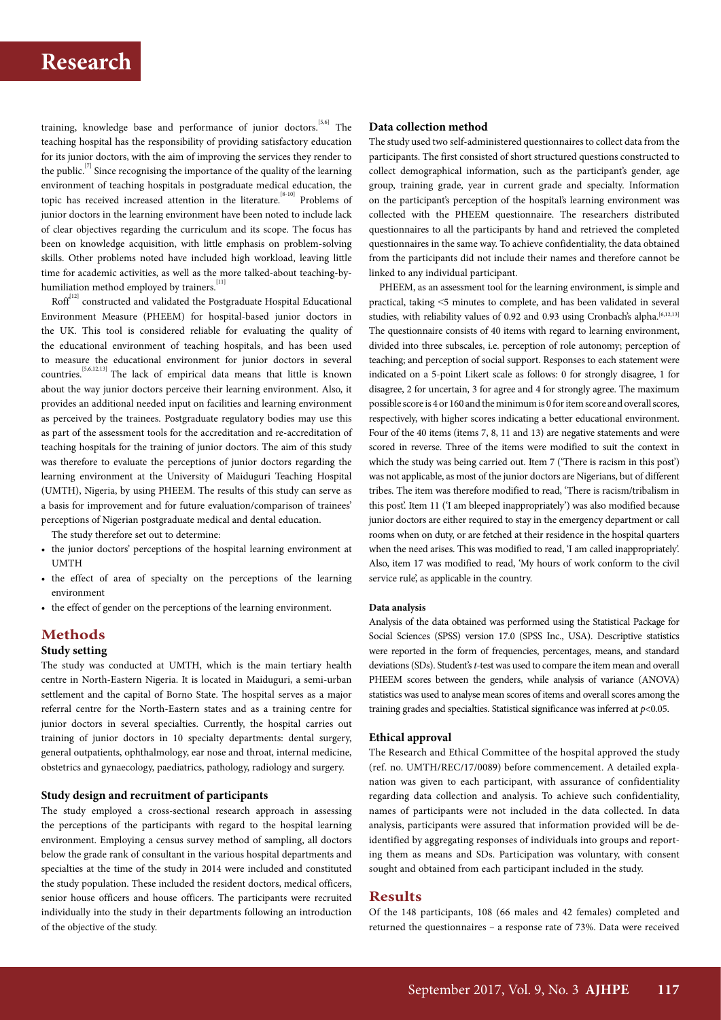training, knowledge base and performance of junior doctors.<sup>[5,6]</sup> The teaching hospital has the responsibility of providing satisfactory education for its junior doctors, with the aim of improving the services they render to the public.<sup>[7]</sup> Since recognising the importance of the quality of the learning environment of teaching hospitals in postgraduate medical education, the topic has received increased attention in the literature.<sup>[8-10]</sup> Problems of junior doctors in the learning environment have been noted to include lack of clear objectives regarding the curriculum and its scope. The focus has been on knowledge acquisition, with little emphasis on problem-solving skills. Other problems noted have included high workload, leaving little time for academic activities, as well as the more talked-about teaching-byhumiliation method employed by trainers.<sup>[11]</sup>

 $Roff<sup>[12]</sup>$  constructed and validated the Postgraduate Hospital Educational Environment Measure (PHEEM) for hospital-based junior doctors in the UK. This tool is considered reliable for evaluating the quality of the educational environment of teaching hospitals, and has been used to measure the educational environment for junior doctors in several countries.[5,6,12,13] The lack of empirical data means that little is known about the way junior doctors perceive their learning environment. Also, it provides an additional needed input on facilities and learning environment as perceived by the trainees. Postgraduate regulatory bodies may use this as part of the assessment tools for the accreditation and re-accreditation of teaching hospitals for the training of junior doctors. The aim of this study was therefore to evaluate the perceptions of junior doctors regarding the learning environment at the University of Maiduguri Teaching Hospital (UMTH), Nigeria, by using PHEEM. The results of this study can serve as a basis for improvement and for future evaluation/comparison of trainees' perceptions of Nigerian postgraduate medical and dental education.

The study therefore set out to determine:

- the junior doctors' perceptions of the hospital learning environment at **UMTH**
- the effect of area of specialty on the perceptions of the learning environment
- the effect of gender on the perceptions of the learning environment.

### **Methods**

### **Study setting**

The study was conducted at UMTH, which is the main tertiary health centre in North-Eastern Nigeria. It is located in Maiduguri, a semi-urban settlement and the capital of Borno State. The hospital serves as a major referral centre for the North-Eastern states and as a training centre for junior doctors in several specialties. Currently, the hospital carries out training of junior doctors in 10 specialty departments: dental surgery, general outpatients, ophthalmology, ear nose and throat, internal medicine, obstetrics and gynaecology, paediatrics, pathology, radiology and surgery.

### **Study design and recruitment of participants**

The study employed a cross-sectional research approach in assessing the perceptions of the participants with regard to the hospital learning environment. Employing a census survey method of sampling, all doctors below the grade rank of consultant in the various hospital departments and specialties at the time of the study in 2014 were included and constituted the study population. These included the resident doctors, medical officers, senior house officers and house officers. The participants were recruited individually into the study in their departments following an introduction of the objective of the study.

### **Data collection method**

The study used two self-administered questionnaires to collect data from the participants. The first consisted of short structured questions constructed to collect demographical information, such as the participant's gender, age group, training grade, year in current grade and specialty. Information on the participant's perception of the hospital's learning environment was collected with the PHEEM questionnaire. The researchers distributed questionnaires to all the participants by hand and retrieved the completed questionnaires in the same way. To achieve confidentiality, the data obtained from the participants did not include their names and therefore cannot be linked to any individual participant.

PHEEM, as an assessment tool for the learning environment, is simple and practical, taking ˂5 minutes to complete, and has been validated in several studies, with reliability values of 0.92 and 0.93 using Cronbach's alpha.<sup>[6,12,13]</sup> The questionnaire consists of 40 items with regard to learning environment, divided into three subscales, i.e. perception of role autonomy; perception of teaching; and perception of social support. Responses to each statement were indicated on a 5-point Likert scale as follows: 0 for strongly disagree, 1 for disagree, 2 for uncertain, 3 for agree and 4 for strongly agree. The maximum possible score is 4 or 160 and the minimum is 0 for item score and overall scores, respectively, with higher scores indicating a better educational environment. Four of the 40 items (items 7, 8, 11 and 13) are negative statements and were scored in reverse. Three of the items were modified to suit the context in which the study was being carried out. Item 7 ('There is racism in this post') was not applicable, as most of the junior doctors are Nigerians, but of different tribes. The item was therefore modified to read, 'There is racism/tribalism in this post'. Item 11 ('I am bleeped inappropriately') was also modified because junior doctors are either required to stay in the emergency department or call rooms when on duty, or are fetched at their residence in the hospital quarters when the need arises. This was modified to read, 'I am called inappropriately'. Also, item 17 was modified to read, 'My hours of work conform to the civil service rule', as applicable in the country.

#### **Data analysis**

Analysis of the data obtained was performed using the Statistical Package for Social Sciences (SPSS) version 17.0 (SPSS Inc., USA). Descriptive statistics were reported in the form of frequencies, percentages, means, and standard deviations (SDs). Student's *t*-test was used to compare the item mean and overall PHEEM scores between the genders, while analysis of variance (ANOVA) statistics was used to analyse mean scores of items and overall scores among the training grades and specialties. Statistical significance was inferred at *p*<0.05.

#### **Ethical approval**

The Research and Ethical Committee of the hospital approved the study (ref. no. UMTH/REC/17/0089) before commencement. A detailed explanation was given to each participant, with assurance of confidentiality regarding data collection and analysis. To achieve such confidentiality, names of participants were not included in the data collected. In data analysis, participants were assured that information provided will be deidentified by aggregating responses of individuals into groups and reporting them as means and SDs. Participation was voluntary, with consent sought and obtained from each participant included in the study.

#### **Results**

Of the 148 participants, 108 (66 males and 42 females) completed and returned the questionnaires – a response rate of 73%. Data were received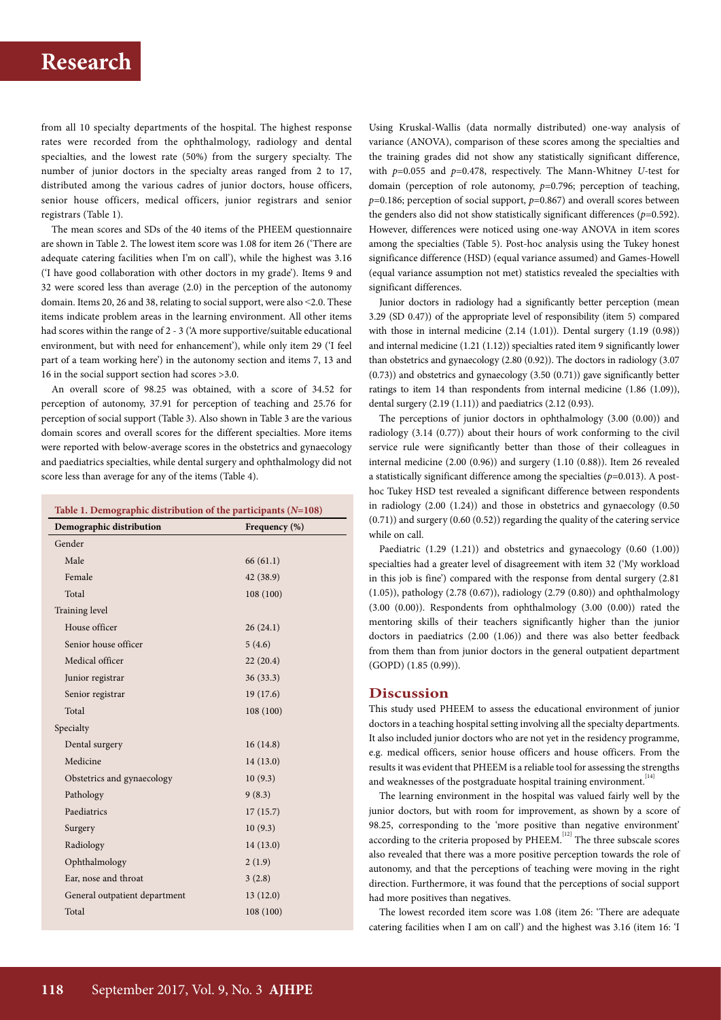from all 10 specialty departments of the hospital. The highest response rates were recorded from the ophthalmology, radiology and dental specialties, and the lowest rate (50%) from the surgery specialty. The number of junior doctors in the specialty areas ranged from 2 to 17, distributed among the various cadres of junior doctors, house officers, senior house officers, medical officers, junior registrars and senior registrars (Table 1).

The mean scores and SDs of the 40 items of the PHEEM questionnaire are shown in Table 2. The lowest item score was 1.08 for item 26 ('There are adequate catering facilities when I'm on call'), while the highest was 3.16 ('I have good collaboration with other doctors in my grade'). Items 9 and 32 were scored less than average (2.0) in the perception of the autonomy domain. Items 20, 26 and 38, relating to social support, were also ˂2.0. These items indicate problem areas in the learning environment. All other items had scores within the range of 2 - 3 ('A more supportive/suitable educational environment, but with need for enhancement'), while only item 29 ('I feel part of a team working here') in the autonomy section and items 7, 13 and 16 in the social support section had scores >3.0.

An overall score of 98.25 was obtained, with a score of 34.52 for perception of autonomy, 37.91 for perception of teaching and 25.76 for perception of social support (Table 3). Also shown in Table 3 are the various domain scores and overall scores for the different specialties. More items were reported with below-average scores in the obstetrics and gynaecology and paediatrics specialties, while dental surgery and ophthalmology did not score less than average for any of the items (Table 4).

| Demographic distribution      | Frequency (%) |
|-------------------------------|---------------|
| Gender                        |               |
| Male                          | 66(61.1)      |
| Female                        | 42 (38.9)     |
| Total                         | 108 (100)     |
| Training level                |               |
| House officer                 | 26(24.1)      |
| Senior house officer          | 5(4.6)        |
| Medical officer               | 22(20.4)      |
| Junior registrar              | 36(33.3)      |
| Senior registrar              | 19(17.6)      |
| Total                         | 108 (100)     |
| Specialty                     |               |
| Dental surgery                | 16(14.8)      |
| Medicine                      | 14(13.0)      |
| Obstetrics and gynaecology    | 10(9.3)       |
| Pathology                     | 9(8.3)        |
| Paediatrics                   | 17(15.7)      |
| Surgery                       | 10(9.3)       |
| Radiology                     | 14(13.0)      |
| Ophthalmology                 | 2(1.9)        |
| Ear, nose and throat          | 3(2.8)        |
| General outpatient department | 13(12.0)      |
| Total                         | 108 (100)     |

Using Kruskal-Wallis (data normally distributed) one-way analysis of variance (ANOVA), comparison of these scores among the specialties and the training grades did not show any statistically significant difference, with *p*=0.055 and *p*=0.478, respectively. The Mann-Whitney *U*-test for domain (perception of role autonomy, *p*=0.796; perception of teaching, *p*=0.186; perception of social support, *p*=0.867) and overall scores between the genders also did not show statistically significant differences (*p*=0.592). However, differences were noticed using one-way ANOVA in item scores among the specialties (Table 5). Post-hoc analysis using the Tukey honest significance difference (HSD) (equal variance assumed) and Games-Howell (equal variance assumption not met) statistics revealed the specialties with significant differences.

Junior doctors in radiology had a significantly better perception (mean 3.29 (SD 0.47)) of the appropriate level of responsibility (item 5) compared with those in internal medicine (2.14 (1.01)). Dental surgery (1.19 (0.98)) and internal medicine (1.21 (1.12)) specialties rated item 9 significantly lower than obstetrics and gynaecology (2.80 (0.92)). The doctors in radiology (3.07 (0.73)) and obstetrics and gynaecology (3.50 (0.71)) gave significantly better ratings to item 14 than respondents from internal medicine (1.86 (1.09)), dental surgery (2.19 (1.11)) and paediatrics (2.12 (0.93).

The perceptions of junior doctors in ophthalmology (3.00 (0.00)) and radiology (3.14 (0.77)) about their hours of work conforming to the civil service rule were significantly better than those of their colleagues in internal medicine (2.00 (0.96)) and surgery (1.10 (0.88)). Item 26 revealed a statistically significant difference among the specialties (*p*=0.013). A posthoc Tukey HSD test revealed a significant difference between respondents in radiology (2.00 (1.24)) and those in obstetrics and gynaecology (0.50 (0.71)) and surgery (0.60 (0.52)) regarding the quality of the catering service while on call.

Paediatric (1.29 (1.21)) and obstetrics and gynaecology (0.60 (1.00)) specialties had a greater level of disagreement with item 32 ('My workload in this job is fine') compared with the response from dental surgery (2.81 (1.05)), pathology (2.78 (0.67)), radiology (2.79 (0.80)) and ophthalmology (3.00 (0.00)). Respondents from ophthalmology (3.00 (0.00)) rated the mentoring skills of their teachers significantly higher than the junior doctors in paediatrics (2.00 (1.06)) and there was also better feedback from them than from junior doctors in the general outpatient department (GOPD) (1.85 (0.99)).

### **Discussion**

This study used PHEEM to assess the educational environment of junior doctors in a teaching hospital setting involving all the specialty departments. It also included junior doctors who are not yet in the residency programme, e.g. medical officers, senior house officers and house officers. From the results it was evident that PHEEM is a reliable tool for assessing the strengths and weaknesses of the postgraduate hospital training environment.<sup>[14]</sup>

The learning environment in the hospital was valued fairly well by the junior doctors, but with room for improvement, as shown by a score of 98.25, corresponding to the 'more positive than negative environment' according to the criteria proposed by  $PHEEM$ .<sup>[12]</sup> The three subscale scores also revealed that there was a more positive perception towards the role of autonomy, and that the perceptions of teaching were moving in the right direction. Furthermore, it was found that the perceptions of social support had more positives than negatives.

The lowest recorded item score was 1.08 (item 26: 'There are adequate catering facilities when I am on call') and the highest was 3.16 (item 16: 'I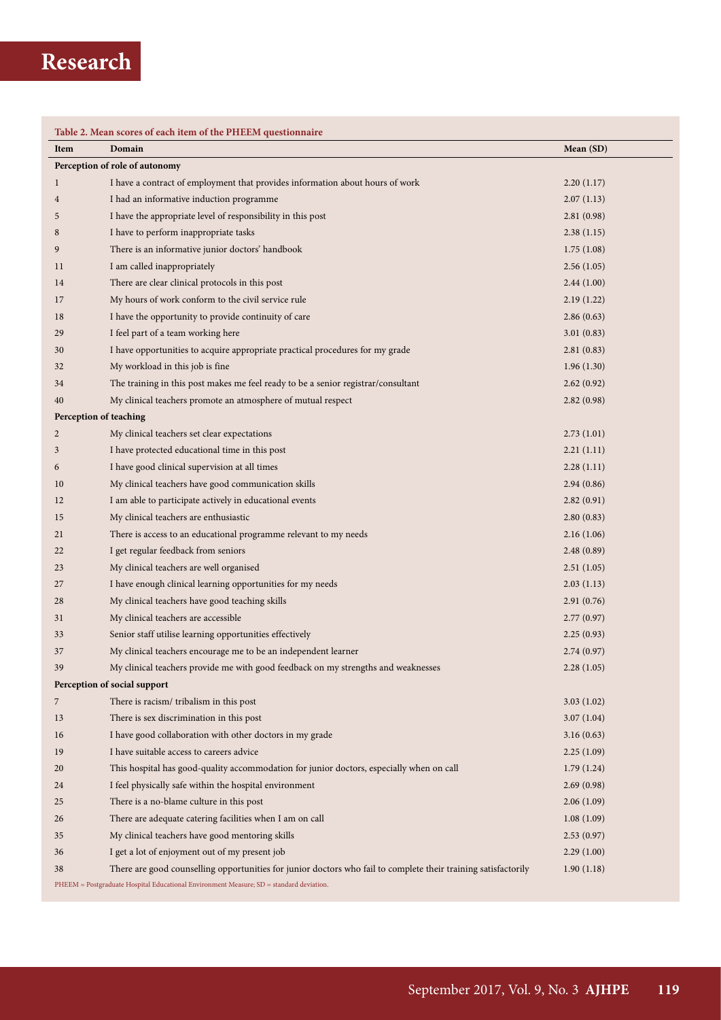|                        | Table 2. Mean scores of each item of the PHEEM questionnaire                                                   |            |
|------------------------|----------------------------------------------------------------------------------------------------------------|------------|
| Item                   | Domain                                                                                                         | Mean (SD)  |
|                        | Perception of role of autonomy                                                                                 |            |
| $\mathbf{1}$           | I have a contract of employment that provides information about hours of work                                  | 2.20(1.17) |
| 4                      | I had an informative induction programme                                                                       | 2.07(1.13) |
| 5                      | I have the appropriate level of responsibility in this post                                                    | 2.81(0.98) |
| 8                      | I have to perform inappropriate tasks                                                                          | 2.38(1.15) |
| 9                      | There is an informative junior doctors' handbook                                                               | 1.75(1.08) |
| 11                     | I am called inappropriately                                                                                    | 2.56(1.05) |
| 14                     | There are clear clinical protocols in this post                                                                | 2.44(1.00) |
| 17                     | My hours of work conform to the civil service rule                                                             | 2.19(1.22) |
| 18                     | I have the opportunity to provide continuity of care                                                           | 2.86(0.63) |
| 29                     | I feel part of a team working here                                                                             | 3.01(0.83) |
| 30                     | I have opportunities to acquire appropriate practical procedures for my grade                                  | 2.81(0.83) |
| 32                     | My workload in this job is fine                                                                                | 1.96(1.30) |
| 34                     | The training in this post makes me feel ready to be a senior registrar/consultant                              | 2.62(0.92) |
| 40                     | My clinical teachers promote an atmosphere of mutual respect                                                   | 2.82(0.98) |
| Perception of teaching |                                                                                                                |            |
| 2                      | My clinical teachers set clear expectations                                                                    | 2.73(1.01) |
| 3                      | I have protected educational time in this post                                                                 | 2.21(1.11) |
| 6                      | I have good clinical supervision at all times                                                                  | 2.28(1.11) |
| 10                     | My clinical teachers have good communication skills                                                            | 2.94(0.86) |
| 12                     | I am able to participate actively in educational events                                                        | 2.82(0.91) |
| 15                     | My clinical teachers are enthusiastic                                                                          | 2.80(0.83) |
| 21                     | There is access to an educational programme relevant to my needs                                               | 2.16(1.06) |
| 22                     | I get regular feedback from seniors                                                                            | 2.48(0.89) |
| 23                     | My clinical teachers are well organised                                                                        | 2.51(1.05) |
| 27                     | I have enough clinical learning opportunities for my needs                                                     | 2.03(1.13) |
| 28                     | My clinical teachers have good teaching skills                                                                 | 2.91(0.76) |
| 31                     | My clinical teachers are accessible                                                                            | 2.77(0.97) |
| 33                     | Senior staff utilise learning opportunities effectively                                                        | 2.25(0.93) |
| 37                     | My clinical teachers encourage me to be an independent learner                                                 | 2.74(0.97) |
| 39                     | My clinical teachers provide me with good feedback on my strengths and weaknesses                              | 2.28(1.05) |
|                        | Perception of social support                                                                                   |            |
| 7                      | There is racism/ tribalism in this post                                                                        | 3.03(1.02) |
| 13                     | There is sex discrimination in this post                                                                       | 3.07(1.04) |
| 16                     | I have good collaboration with other doctors in my grade                                                       | 3.16(0.63) |
| 19                     | I have suitable access to careers advice                                                                       | 2.25(1.09) |
| 20                     | This hospital has good-quality accommodation for junior doctors, especially when on call                       | 1.79(1.24) |
| 24                     | I feel physically safe within the hospital environment                                                         | 2.69(0.98) |
| 25                     | There is a no-blame culture in this post                                                                       | 2.06(1.09) |
| 26                     | There are adequate catering facilities when I am on call                                                       | 1.08(1.09) |
| 35                     | My clinical teachers have good mentoring skills                                                                | 2.53(0.97) |
| 36                     | I get a lot of enjoyment out of my present job                                                                 | 2.29(1.00) |
| 38                     | There are good counselling opportunities for junior doctors who fail to complete their training satisfactorily | 1.90(1.18) |
|                        | PHEEM = Postgraduate Hospital Educational Environment Measure; SD = standard deviation.                        |            |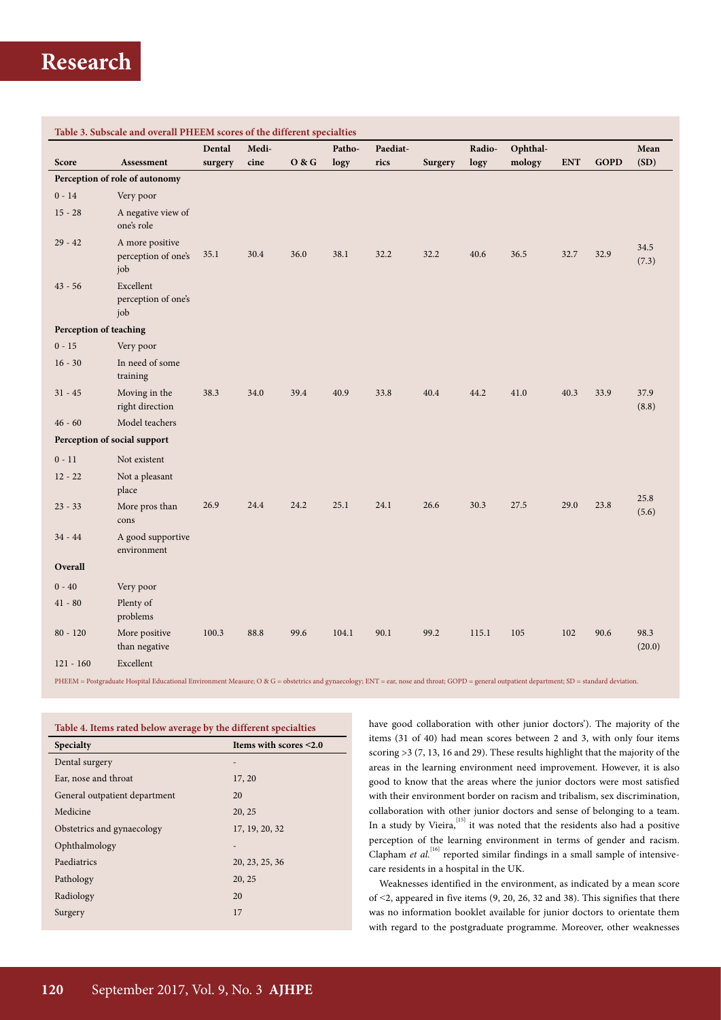|                        | Table 3. Subscale and overall PHEEM scores of the different specialties                                                                                                                             |                   |                     |       |                |                  |         |                |                    |            |             |              |
|------------------------|-----------------------------------------------------------------------------------------------------------------------------------------------------------------------------------------------------|-------------------|---------------------|-------|----------------|------------------|---------|----------------|--------------------|------------|-------------|--------------|
| Score                  | Assessment                                                                                                                                                                                          | Dental<br>surgery | Medi-<br>$\rm cine$ | O & G | Patho-<br>logy | Paediat-<br>rics | Surgery | Radio-<br>logy | Ophthal-<br>mology | <b>ENT</b> | <b>GOPD</b> | Mean<br>(SD) |
|                        | Perception of role of autonomy                                                                                                                                                                      |                   |                     |       |                |                  |         |                |                    |            |             |              |
|                        |                                                                                                                                                                                                     |                   |                     |       |                |                  |         |                |                    |            |             |              |
| $0 - 14$               | Very poor                                                                                                                                                                                           |                   |                     |       |                |                  |         |                |                    |            |             |              |
| $15 - 28$              | A negative view of<br>one's role                                                                                                                                                                    |                   |                     |       |                |                  |         |                |                    |            |             |              |
| $29 - 42$              | A more positive                                                                                                                                                                                     |                   |                     |       |                |                  |         |                |                    |            |             | 34.5         |
|                        | perception of one's<br>job                                                                                                                                                                          | 35.1              | 30.4                | 36.0  | 38.1           | 32.2             | 32.2    | 40.6           | 36.5               | 32.7       | 32.9        | (7.3)        |
| $43 - 56$              | Excellent                                                                                                                                                                                           |                   |                     |       |                |                  |         |                |                    |            |             |              |
|                        | perception of one's<br>job                                                                                                                                                                          |                   |                     |       |                |                  |         |                |                    |            |             |              |
| Perception of teaching |                                                                                                                                                                                                     |                   |                     |       |                |                  |         |                |                    |            |             |              |
| $0 - 15$               | Very poor                                                                                                                                                                                           |                   |                     |       |                |                  |         |                |                    |            |             |              |
| $16 - 30$              | In need of some<br>training                                                                                                                                                                         |                   |                     |       |                |                  |         |                |                    |            |             |              |
| $31 - 45$              | Moving in the                                                                                                                                                                                       | 38.3              | 34.0                | 39.4  | 40.9           | 33.8             | 40.4    | 44.2           | 41.0               | 40.3       | 33.9        | 37.9         |
|                        | right direction                                                                                                                                                                                     |                   |                     |       |                |                  |         |                |                    |            |             | (8.8)        |
| $46 - 60$              | Model teachers                                                                                                                                                                                      |                   |                     |       |                |                  |         |                |                    |            |             |              |
|                        | Perception of social support                                                                                                                                                                        |                   |                     |       |                |                  |         |                |                    |            |             |              |
| $0 - 11$               | Not existent                                                                                                                                                                                        |                   |                     |       |                |                  |         |                |                    |            |             |              |
| $12 - 22$              | Not a pleasant                                                                                                                                                                                      |                   |                     |       |                |                  |         |                |                    |            |             |              |
|                        | place                                                                                                                                                                                               |                   |                     |       |                |                  |         |                |                    |            |             | 25.8         |
| $23 - 33$              | More pros than<br>cons                                                                                                                                                                              | 26.9              | 24.4                | 24.2  | 25.1           | 24.1             | 26.6    | 30.3           | 27.5               | 29.0       | 23.8        | (5.6)        |
| $34 - 44$              | A good supportive<br>environment                                                                                                                                                                    |                   |                     |       |                |                  |         |                |                    |            |             |              |
| Overall                |                                                                                                                                                                                                     |                   |                     |       |                |                  |         |                |                    |            |             |              |
| $0 - 40$               | Very poor                                                                                                                                                                                           |                   |                     |       |                |                  |         |                |                    |            |             |              |
| $41 - 80$              | Plenty of                                                                                                                                                                                           |                   |                     |       |                |                  |         |                |                    |            |             |              |
|                        | problems                                                                                                                                                                                            |                   |                     |       |                |                  |         |                |                    |            |             |              |
| $80 - 120$             | More positive                                                                                                                                                                                       | 100.3             | 88.8                | 99.6  | 104.1          | 90.1             | 99.2    | 115.1          | 105                | 102        | 90.6        | 98.3         |
|                        | than negative                                                                                                                                                                                       |                   |                     |       |                |                  |         |                |                    |            |             | (20.0)       |
| $121 - 160$            | Excellent                                                                                                                                                                                           |                   |                     |       |                |                  |         |                |                    |            |             |              |
|                        | PHFFM = Postgraduate Hospital Educational Environment Measure: $\Omega$ & G = obstetrics and gynaecology: ENT = ear, nose and throat: GOPD = general outpatient department: SD = standard deviation |                   |                     |       |                |                  |         |                |                    |            |             |              |

#### **Table 3. Subscale and overall PHEEM scores of the different specialties**

PHEEM = Postgraduate Hospital Educational Environment Measure; O & G = obstetrics and gynaecology; ENT = ear, nose and throat; GOPD = general outpatient department; SD = standard deviation.

| Table 4. Items rated below average by the different specialties |                              |  |  |
|-----------------------------------------------------------------|------------------------------|--|--|
| Specialty                                                       | Items with scores $\leq 2.0$ |  |  |
| Dental surgery                                                  | -                            |  |  |
| Ear, nose and throat                                            | 17, 20                       |  |  |
| General outpatient department                                   | 20                           |  |  |
| Medicine                                                        | 20, 25                       |  |  |
| Obstetrics and gynaecology                                      | 17, 19, 20, 32               |  |  |
| Ophthalmology                                                   |                              |  |  |
| Paediatrics                                                     | 20, 23, 25, 36               |  |  |
| Pathology                                                       | 20, 25                       |  |  |
| Radiology                                                       | 20                           |  |  |
| Surgery                                                         | 17                           |  |  |
|                                                                 |                              |  |  |

have good collaboration with other junior doctors'). The majority of the items (31 of 40) had mean scores between 2 and 3, with only four items scoring >3 (7, 13, 16 and 29). These results highlight that the majority of the areas in the learning environment need improvement. However, it is also good to know that the areas where the junior doctors were most satisfied with their environment border on racism and tribalism, sex discrimination, collaboration with other junior doctors and sense of belonging to a team. In a study by Vieira,  $\left| \begin{array}{c} 115 \\ 1 \end{array} \right|$  it was noted that the residents also had a positive perception of the learning environment in terms of gender and racism. Clapham *et al.*<sup>[16]</sup> reported similar findings in a small sample of intensivecare residents in a hospital in the UK.

Weaknesses identified in the environment, as indicated by a mean score of  $\leq$ 2, appeared in five items (9, 20, 26, 32 and 38). This signifies that there was no information booklet available for junior doctors to orientate them with regard to the postgraduate programme. Moreover, other weaknesses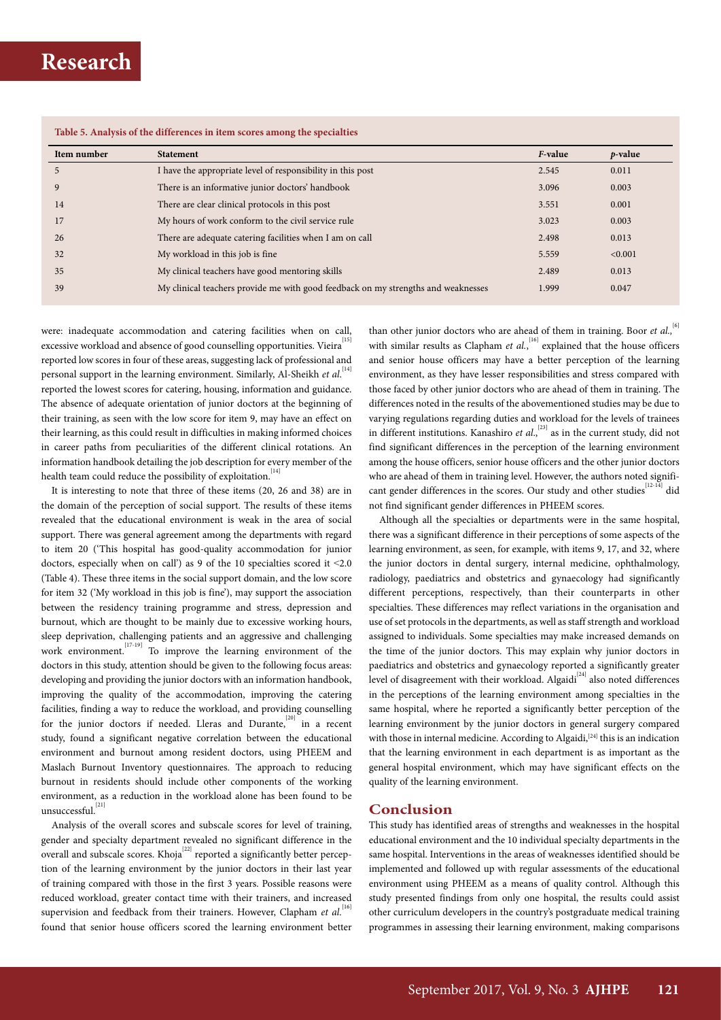#### **Table 5. Analysis of the differences in item scores among the specialties**

| Item number | <b>Statement</b>                                                                  | F-value | $p$ -value |
|-------------|-----------------------------------------------------------------------------------|---------|------------|
| 5           | I have the appropriate level of responsibility in this post                       | 2.545   | 0.011      |
| 9           | There is an informative junior doctors' handbook                                  | 3.096   | 0.003      |
| 14          | There are clear clinical protocols in this post                                   | 3.551   | 0.001      |
| 17          | My hours of work conform to the civil service rule                                | 3.023   | 0.003      |
| 26          | There are adequate catering facilities when I am on call                          | 2.498   | 0.013      |
| 32          | My workload in this job is fine                                                   | 5.559   | < 0.001    |
| 35          | My clinical teachers have good mentoring skills                                   | 2.489   | 0.013      |
| 39          | My clinical teachers provide me with good feedback on my strengths and weaknesses | 1.999   | 0.047      |

were: inadequate accommodation and catering facilities when on call, excessive workload and absence of good counselling opportunities. Vieira<sup>[15]</sup> reported low scores in four of these areas, suggesting lack of professional and personal support in the learning environment. Similarly, Al-Sheikh *et al*. [14] reported the lowest scores for catering, housing, information and guidance. The absence of adequate orientation of junior doctors at the beginning of their training, as seen with the low score for item 9, may have an effect on their learning, as this could result in difficulties in making informed choices in career paths from peculiarities of the different clinical rotations. An information handbook detailing the job description for every member of the health team could reduce the possibility of exploitation.

It is interesting to note that three of these items (20, 26 and 38) are in the domain of the perception of social support. The results of these items revealed that the educational environment is weak in the area of social support. There was general agreement among the departments with regard to item 20 ('This hospital has good-quality accommodation for junior doctors, especially when on call') as 9 of the 10 specialties scored it ˂2.0 (Table 4). These three items in the social support domain, and the low score for item 32 ('My workload in this job is fine'), may support the association between the residency training programme and stress, depression and burnout, which are thought to be mainly due to excessive working hours, sleep deprivation, challenging patients and an aggressive and challenging work environment.  $\overline{17}$  To improve the learning environment of the doctors in this study, attention should be given to the following focus areas: developing and providing the junior doctors with an information handbook, improving the quality of the accommodation, improving the catering facilities, finding a way to reduce the workload, and providing counselling for the junior doctors if needed. Lleras and Durante,  $^{[20]}$  in a recent study, found a significant negative correlation between the educational environment and burnout among resident doctors, using PHEEM and Maslach Burnout Inventory questionnaires. The approach to reducing burnout in residents should include other components of the working environment, as a reduction in the workload alone has been found to be unsuccessful.<sup>[21]</sup>

Analysis of the overall scores and subscale scores for level of training, gender and specialty department revealed no significant difference in the overall and subscale scores. Khoja<sup>[22]</sup> reported a significantly better perception of the learning environment by the junior doctors in their last year of training compared with those in the first 3 years. Possible reasons were reduced workload, greater contact time with their trainers, and increased supervision and feedback from their trainers. However, Clapham et al.<sup>[16]</sup> found that senior house officers scored the learning environment better

than other junior doctors who are ahead of them in training. Boor *et al.*,<sup>[6]</sup> with similar results as Clapham et al.,<sup>[16]</sup> explained that the house officers and senior house officers may have a better perception of the learning environment, as they have lesser responsibilities and stress compared with those faced by other junior doctors who are ahead of them in training. The differences noted in the results of the abovementioned studies may be due to varying regulations regarding duties and workload for the levels of trainees in different institutions. Kanashiro *et al*., [23] as in the current study, did not find significant differences in the perception of the learning environment among the house officers, senior house officers and the other junior doctors who are ahead of them in training level. However, the authors noted significant gender differences in the scores. Our study and other studies  $\frac{12-14}{12-14}$  did not find significant gender differences in PHEEM scores.

Although all the specialties or departments were in the same hospital, there was a significant difference in their perceptions of some aspects of the learning environment, as seen, for example, with items 9, 17, and 32, where the junior doctors in dental surgery, internal medicine, ophthalmology, radiology, paediatrics and obstetrics and gynaecology had significantly different perceptions, respectively, than their counterparts in other specialties. These differences may reflect variations in the organisation and use of set protocols in the departments, as well as staff strength and workload assigned to individuals. Some specialties may make increased demands on the time of the junior doctors. This may explain why junior doctors in paediatrics and obstetrics and gynaecology reported a significantly greater level of disagreement with their workload. Algaidi<sup>[24]</sup> also noted differences in the perceptions of the learning environment among specialties in the same hospital, where he reported a significantly better perception of the learning environment by the junior doctors in general surgery compared with those in internal medicine. According to Algaidi,<sup>[24]</sup> this is an indication that the learning environment in each department is as important as the general hospital environment, which may have significant effects on the quality of the learning environment.

### **Conclusion**

This study has identified areas of strengths and weaknesses in the hospital educational environment and the 10 individual specialty departments in the same hospital. Interventions in the areas of weaknesses identified should be implemented and followed up with regular assessments of the educational environment using PHEEM as a means of quality control. Although this study presented findings from only one hospital, the results could assist other curriculum developers in the country's postgraduate medical training programmes in assessing their learning environment, making comparisons